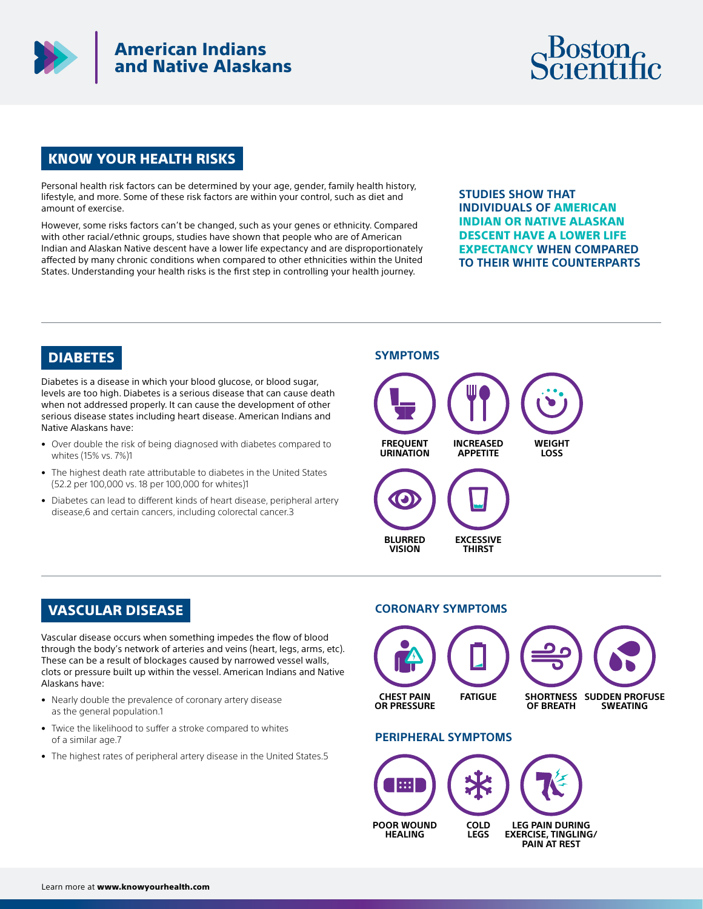

## American Indians and Native Alaskans



## KNOW YOUR HEALTH RISKS

Personal health risk factors can be determined by your age, gender, family health history, lifestyle, and more. Some of these risk factors are within your control, such as diet and amount of exercise.

However, some risks factors can't be changed, such as your genes or ethnicity. Compared with other racial/ethnic groups, studies have shown that people who are of American Indian and Alaskan Native descent have a lower life expectancy and are disproportionately affected by many chronic conditions when compared to other ethnicities within the United States. Understanding your health risks is the first step in controlling your health journey.

**STUDIES SHOW THAT INDIVIDUALS OF** AMERICAN INDIAN OR NATIVE ALASKAN DESCENT HAVE A LOWER LIFE EXPECTANCY **WHEN COMPARED TO THEIR WHITE COUNTERPARTS**

## DIABETES

Diabetes is a disease in which your blood glucose, or blood sugar, levels are too high. Diabetes is a serious disease that can cause death when not addressed properly. It can cause the development of other serious disease states including heart disease. American Indians and Native Alaskans have:

- Over double the risk of being diagnosed with diabetes compared to whites (15% vs. 7%)1
- The highest death rate attributable to diabetes in the United States (52.2 per 100,000 vs. 18 per 100,000 for whites)1
- Diabetes can lead to different kinds of heart disease, peripheral artery disease,6 and certain cancers, including colorectal cancer.3



## VASCULAR DISEASE

Vascular disease occurs when something impedes the flow of blood through the body's network of arteries and veins (heart, legs, arms, etc). These can be a result of blockages caused by narrowed vessel walls, clots or pressure built up within the vessel. American Indians and Native Alaskans have:

- Nearly double the prevalence of coronary artery disease as the general population.1
- Twice the likelihood to suffer a stroke compared to whites of a similar age.7
- The highest rates of peripheral artery disease in the United States.5

#### **CORONARY SYMPTOMS**